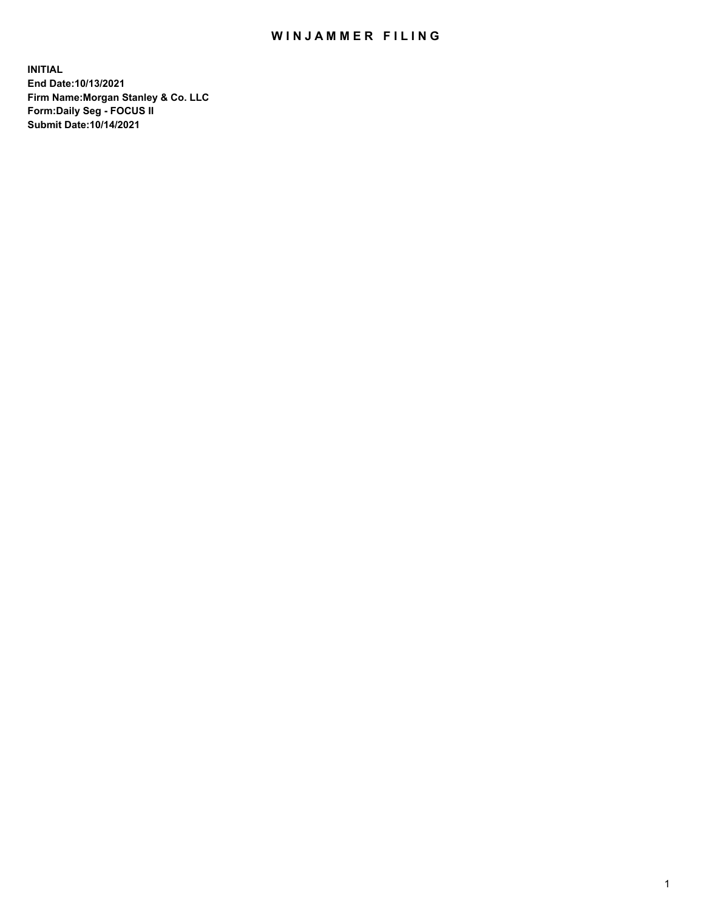## WIN JAMMER FILING

**INITIAL End Date:10/13/2021 Firm Name:Morgan Stanley & Co. LLC Form:Daily Seg - FOCUS II Submit Date:10/14/2021**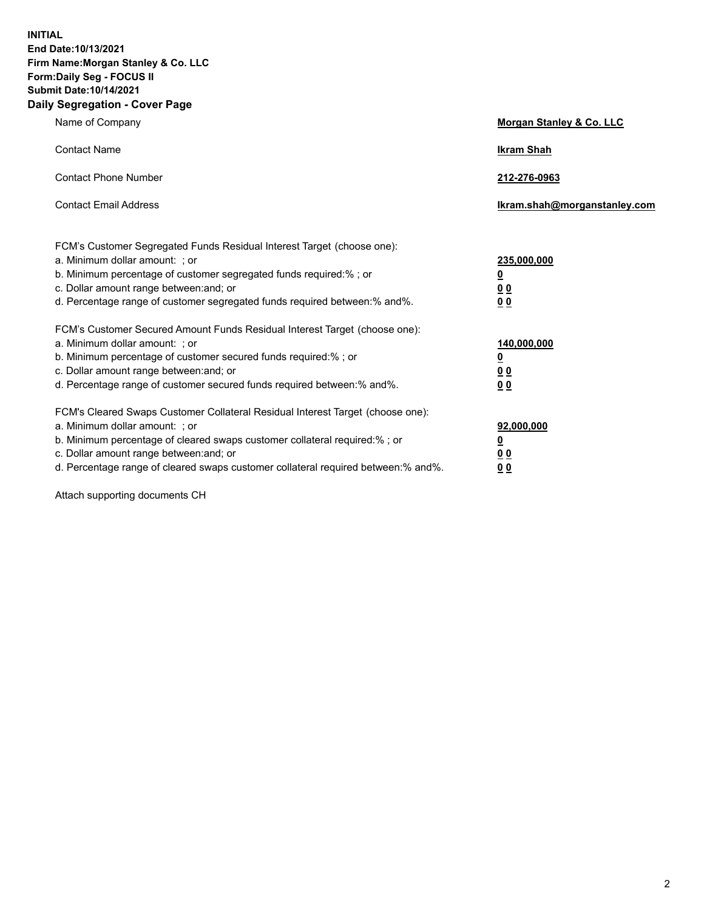**INITIAL End Date:10/13/2021 Firm Name:Morgan Stanley & Co. LLC Form:Daily Seg - FOCUS II Submit Date:10/14/2021 Daily Segregation - Cover Page**

| Name of Company                                                                                                                                                                                                                                                                                                                | <b>Morgan Stanley &amp; Co. LLC</b>                    |
|--------------------------------------------------------------------------------------------------------------------------------------------------------------------------------------------------------------------------------------------------------------------------------------------------------------------------------|--------------------------------------------------------|
| <b>Contact Name</b>                                                                                                                                                                                                                                                                                                            | <b>Ikram Shah</b>                                      |
| <b>Contact Phone Number</b>                                                                                                                                                                                                                                                                                                    | 212-276-0963                                           |
| <b>Contact Email Address</b>                                                                                                                                                                                                                                                                                                   | Ikram.shah@morganstanley.com                           |
| FCM's Customer Segregated Funds Residual Interest Target (choose one):<br>a. Minimum dollar amount: ; or<br>b. Minimum percentage of customer segregated funds required:% ; or<br>c. Dollar amount range between: and; or<br>d. Percentage range of customer segregated funds required between: % and %.                       | 235,000,000<br><u>0</u><br>00<br>0 Q                   |
| FCM's Customer Secured Amount Funds Residual Interest Target (choose one):<br>a. Minimum dollar amount: ; or<br>b. Minimum percentage of customer secured funds required:% ; or<br>c. Dollar amount range between: and; or<br>d. Percentage range of customer secured funds required between:% and%.                           | 140,000,000<br><u>0</u><br><u>00</u><br>0 <sub>0</sub> |
| FCM's Cleared Swaps Customer Collateral Residual Interest Target (choose one):<br>a. Minimum dollar amount: ; or<br>b. Minimum percentage of cleared swaps customer collateral required:% ; or<br>c. Dollar amount range between: and; or<br>d. Percentage range of cleared swaps customer collateral required between:% and%. | 92,000,000<br><u>0</u><br><u>00</u><br>0 <sub>0</sub>  |

Attach supporting documents CH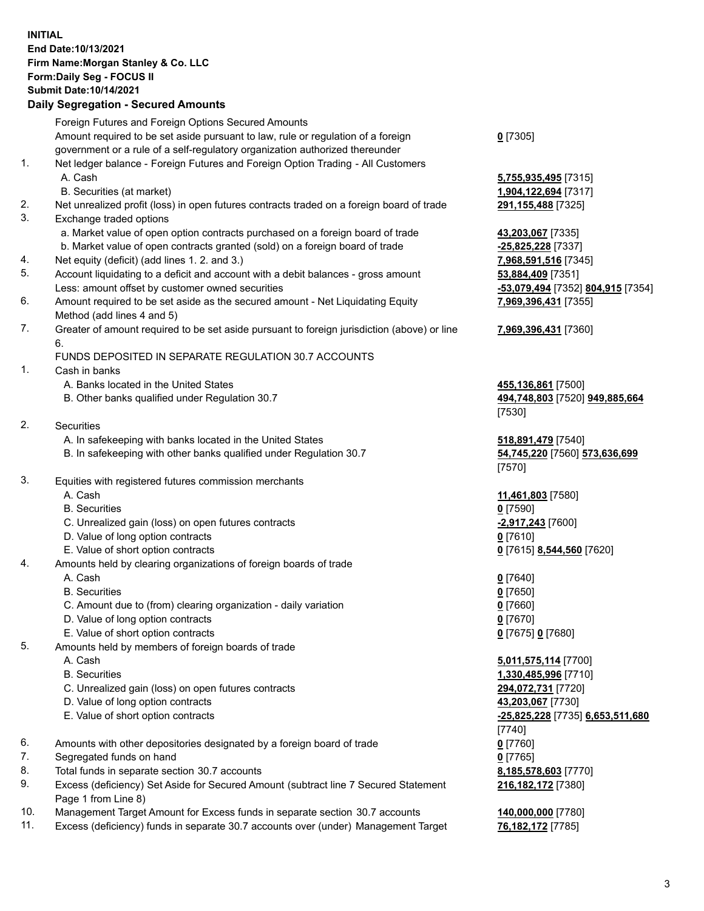## **INITIAL End Date:10/13/2021 Firm Name:Morgan Stanley & Co. LLC Form:Daily Seg - FOCUS II Submit Date:10/14/2021**

## **Daily Segregation - Secured Amounts**

|    | Foreign Futures and Foreign Options Secured Amounts                                               |                                         |
|----|---------------------------------------------------------------------------------------------------|-----------------------------------------|
|    | Amount required to be set aside pursuant to law, rule or regulation of a foreign                  | $0$ [7305]                              |
|    | government or a rule of a self-regulatory organization authorized thereunder                      |                                         |
| 1. | Net ledger balance - Foreign Futures and Foreign Option Trading - All Customers                   |                                         |
|    | A. Cash                                                                                           | 5,755,935,495 [7315]                    |
|    | B. Securities (at market)                                                                         | 1,904,122,694 [7317]                    |
| 2. | Net unrealized profit (loss) in open futures contracts traded on a foreign board of trade         | 291,155,488 [7325]                      |
| 3. | Exchange traded options                                                                           |                                         |
|    | a. Market value of open option contracts purchased on a foreign board of trade                    | 43,203,067 [7335]                       |
|    | b. Market value of open contracts granted (sold) on a foreign board of trade                      | -25,825,228 [7337]                      |
| 4. | Net equity (deficit) (add lines 1. 2. and 3.)                                                     | 7,968,591,516 [7345]                    |
| 5. | Account liquidating to a deficit and account with a debit balances - gross amount                 | 53,884,409 [7351]                       |
|    | Less: amount offset by customer owned securities                                                  | -53,079,494 [7352] 804,915 [7354]       |
| 6. | Amount required to be set aside as the secured amount - Net Liquidating Equity                    | 7,969,396,431 [7355]                    |
|    | Method (add lines 4 and 5)                                                                        |                                         |
| 7. | Greater of amount required to be set aside pursuant to foreign jurisdiction (above) or line<br>6. | 7,969,396,431 [7360]                    |
|    | FUNDS DEPOSITED IN SEPARATE REGULATION 30.7 ACCOUNTS                                              |                                         |
| 1. | Cash in banks                                                                                     |                                         |
|    | A. Banks located in the United States                                                             | 455,136,861 [7500]                      |
|    | B. Other banks qualified under Regulation 30.7                                                    | 494,748,803 [7520] 949,885,664          |
|    |                                                                                                   | [7530]                                  |
| 2. | Securities                                                                                        |                                         |
|    | A. In safekeeping with banks located in the United States                                         | 518,891,479 [7540]                      |
|    | B. In safekeeping with other banks qualified under Regulation 30.7                                | 54,745,220 [7560] 573,636,699<br>[7570] |
| 3. | Equities with registered futures commission merchants                                             |                                         |
|    | A. Cash                                                                                           | 11,461,803 [7580]                       |
|    | <b>B.</b> Securities                                                                              | $0$ [7590]                              |
|    | C. Unrealized gain (loss) on open futures contracts                                               | $-2,917,243$ [7600]                     |
|    | D. Value of long option contracts                                                                 | $0$ [7610]                              |
|    | E. Value of short option contracts                                                                | 0 [7615] 8,544,560 [7620]               |
| 4. | Amounts held by clearing organizations of foreign boards of trade                                 |                                         |
|    | A. Cash                                                                                           | $0$ [7640]                              |
|    | <b>B.</b> Securities                                                                              | $0$ [7650]                              |
|    | C. Amount due to (from) clearing organization - daily variation                                   | $0$ [7660]                              |
|    | D. Value of long option contracts                                                                 | $0$ [7670]                              |
|    | E. Value of short option contracts                                                                | 0 [7675] 0 [7680]                       |
| 5. | Amounts held by members of foreign boards of trade                                                |                                         |
|    | A. Cash                                                                                           | 5,011,575,114 [7700]                    |
|    | <b>B.</b> Securities                                                                              | 1,330,485,996 [7710]                    |
|    | C. Unrealized gain (loss) on open futures contracts                                               | 294,072,731 [7720]                      |
|    | D. Value of long option contracts                                                                 | 43,203,067 [7730]                       |
|    | E. Value of short option contracts                                                                | -25,825,228 [7735] 6,653,511,680        |
|    |                                                                                                   | $[7740]$                                |
| 6. | Amounts with other depositories designated by a foreign board of trade                            | $0$ [7760]                              |
| 7. | Segregated funds on hand                                                                          | $0$ [7765]                              |
| 8. | Total funds in separate section 30.7 accounts                                                     | 8,185,578,603 [7770]                    |
| 9. | Excess (deficiency) Set Aside for Secured Amount (subtract line 7 Secured Statement               | 216, 182, 172 [7380]                    |
|    | Page 1 from Line 8)                                                                               |                                         |

- 10. Management Target Amount for Excess funds in separate section 30.7 accounts **140,000,000** [7780]
- 11. Excess (deficiency) funds in separate 30.7 accounts over (under) Management Target **76,182,172** [7785]

3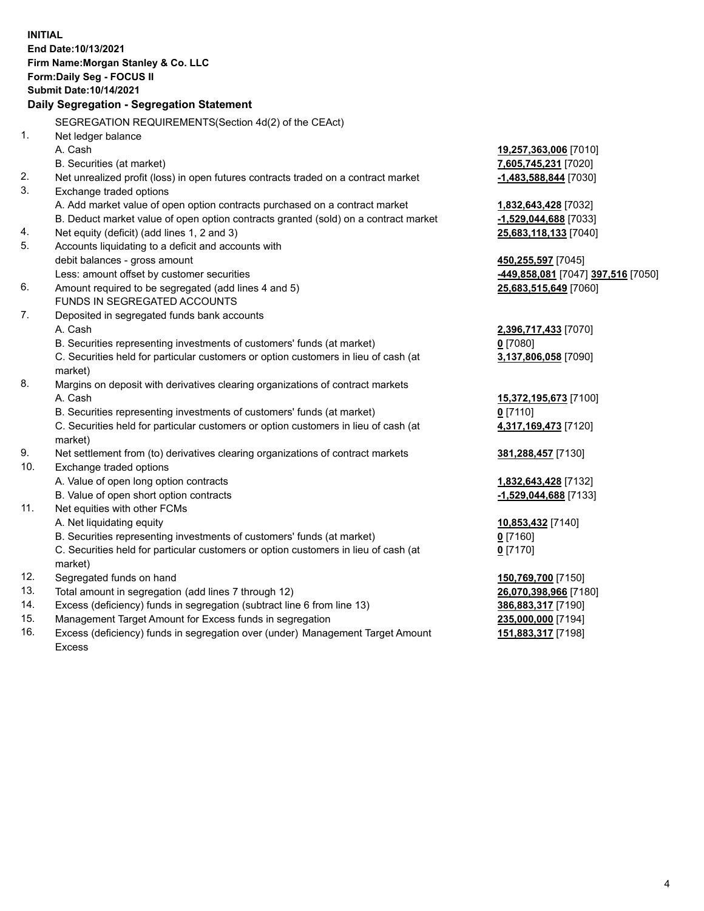**INITIAL End Date:10/13/2021 Firm Name:Morgan Stanley & Co. LLC Form:Daily Seg - FOCUS II Submit Date:10/14/2021 Daily Segregation - Segregation Statement** SEGREGATION REQUIREMENTS(Section 4d(2) of the CEAct) 1. Net ledger balance A. Cash **19,257,363,006** [7010] B. Securities (at market) **7,605,745,231** [7020] 2. Net unrealized profit (loss) in open futures contracts traded on a contract market **-1,483,588,844** [7030] 3. Exchange traded options A. Add market value of open option contracts purchased on a contract market **1,832,643,428** [7032] B. Deduct market value of open option contracts granted (sold) on a contract market **-1,529,044,688** [7033] 4. Net equity (deficit) (add lines 1, 2 and 3) **25,683,118,133** [7040] 5. Accounts liquidating to a deficit and accounts with debit balances - gross amount **450,255,597** [7045] Less: amount offset by customer securities **-449,858,081** [7047] **397,516** [7050] 6. Amount required to be segregated (add lines 4 and 5) **25,683,515,649** [7060] FUNDS IN SEGREGATED ACCOUNTS 7. Deposited in segregated funds bank accounts A. Cash **2,396,717,433** [7070] B. Securities representing investments of customers' funds (at market) **0** [7080] C. Securities held for particular customers or option customers in lieu of cash (at market) **3,137,806,058** [7090] 8. Margins on deposit with derivatives clearing organizations of contract markets A. Cash **15,372,195,673** [7100] B. Securities representing investments of customers' funds (at market) **0** [7110] C. Securities held for particular customers or option customers in lieu of cash (at market) **4,317,169,473** [7120] 9. Net settlement from (to) derivatives clearing organizations of contract markets **381,288,457** [7130] 10. Exchange traded options A. Value of open long option contracts **1,832,643,428** [7132] B. Value of open short option contracts **-1,529,044,688** [7133] 11. Net equities with other FCMs A. Net liquidating equity **10,853,432** [7140] B. Securities representing investments of customers' funds (at market) **0** [7160] C. Securities held for particular customers or option customers in lieu of cash (at market) **0** [7170] 12. Segregated funds on hand **150,769,700** [7150] 13. Total amount in segregation (add lines 7 through 12) **26,070,398,966** [7180] 14. Excess (deficiency) funds in segregation (subtract line 6 from line 13) **386,883,317** [7190] 15. Management Target Amount for Excess funds in segregation **235,000,000** [7194] **151,883,317** [7198]

16. Excess (deficiency) funds in segregation over (under) Management Target Amount Excess